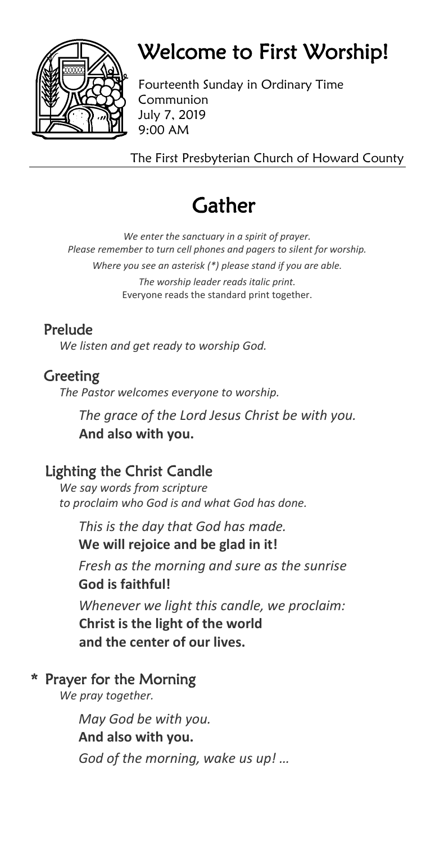

# Welcome to First Worship!

Fourteenth Sunday in Ordinary Time Communion July 7, 2019 9:00 AM

The First Presbyterian Church of Howard County

# **Gather**

*We enter the sanctuary in a spirit of prayer. Please remember to turn cell phones and pagers to silent for worship. Where you see an asterisk (\*) please stand if you are able. The worship leader reads italic print.* Everyone reads the standard print together.

## Prelude

*We listen and get ready to worship God.*

## Greeting

*The Pastor welcomes everyone to worship.*

*The grace of the Lord Jesus Christ be with you.* **And also with you.**

## Lighting the Christ Candle

*We say words from scripture to proclaim who God is and what God has done.*

*This is the day that God has made.* **We will rejoice and be glad in it!**

*Fresh as the morning and sure as the sunrise* **God is faithful!**

*Whenever we light this candle, we proclaim:* **Christ is the light of the world and the center of our lives.**

## \* Prayer for the Morning

*We pray together.*

*May God be with you.* **And also with you.** *God of the morning, wake us up! …*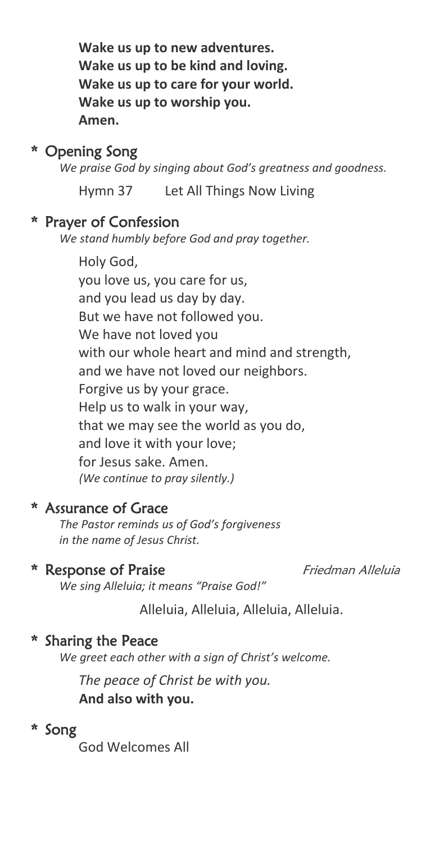**Wake us up to new adventures. Wake us up to be kind and loving. Wake us up to care for your world. Wake us up to worship you. Amen.**

### \* Opening Song

*We praise God by singing about God's greatness and goodness.*

Hymn 37 Let All Things Now Living

#### \* Prayer of Confession

*We stand humbly before God and pray together.*

Holy God, you love us, you care for us, and you lead us day by day. But we have not followed you. We have not loved you with our whole heart and mind and strength, and we have not loved our neighbors. Forgive us by your grace. Help us to walk in your way, that we may see the world as you do, and love it with your love; for Jesus sake. Amen. *(We continue to pray silently.)*

#### \* Assurance of Grace

*The Pastor reminds us of God's forgiveness in the name of Jesus Christ.*

#### \* Response of Praise Friedman Alleluia

*We sing Alleluia; it means "Praise God!"*

Alleluia, Alleluia, Alleluia, Alleluia.

#### \* Sharing the Peace

*We greet each other with a sign of Christ's welcome.*

*The peace of Christ be with you.* **And also with you.**

# \* Song

God Welcomes All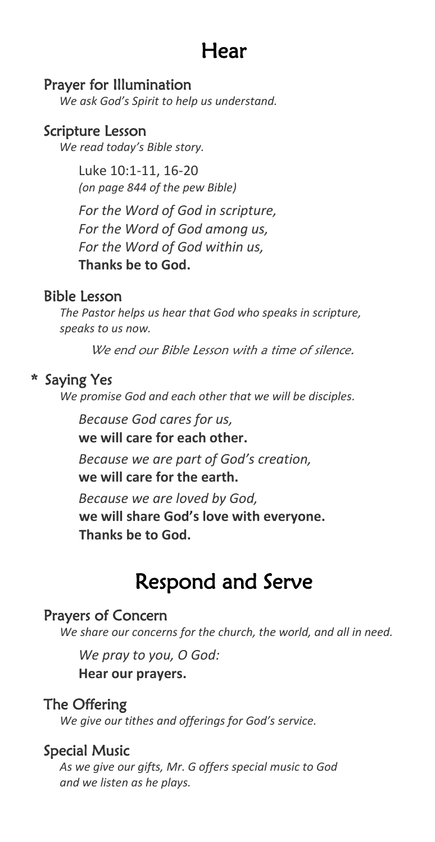# Hear

#### Prayer for Illumination

*We ask God's Spirit to help us understand.*

#### Scripture Lesson

*We read today's Bible story.*

Luke 10:1-11, 16-20 *(on page 844 of the pew Bible)*

*For the Word of God in scripture, For the Word of God among us, For the Word of God within us,* **Thanks be to God.**

#### Bible Lesson

*The Pastor helps us hear that God who speaks in scripture, speaks to us now.* 

We end our Bible Lesson with a time of silence.

#### \* Saying Yes

*We promise God and each other that we will be disciples.*

*Because God cares for us,* **we will care for each other.**

*Because we are part of God's creation,* **we will care for the earth.**

*Because we are loved by God,* **we will share God's love with everyone. Thanks be to God.**

# Respond and Serve

#### Prayers of Concern

*We share our concerns for the church, the world, and all in need.*

*We pray to you, O God:*

**Hear our prayers.**

#### The Offering

*We give our tithes and offerings for God's service.*

#### Special Music

*As we give our gifts, Mr. G offers special music to God and we listen as he plays.*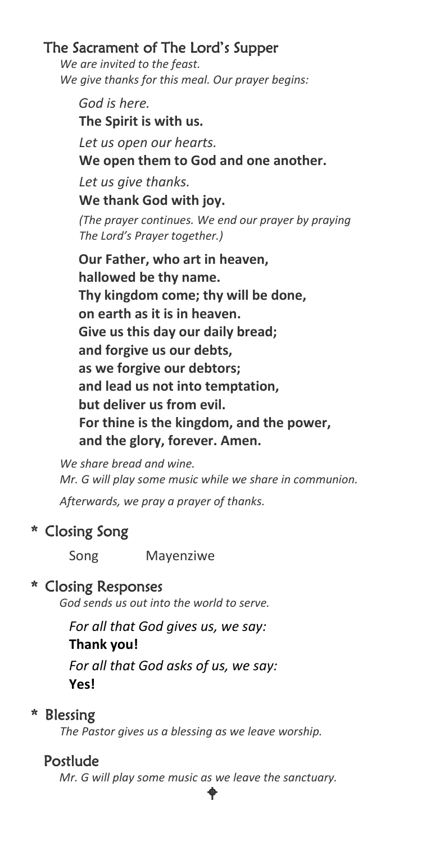### The Sacrament of The Lord's Supper

*We are invited to the feast. We give thanks for this meal. Our prayer begins:*

*God is here.* **The Spirit is with us***. Let us open our hearts.* **We open them to God and one another.** *Let us give thanks.* **We thank God with joy.** *(The prayer continues. We end our prayer by praying The Lord's Prayer together.)*  **Our Father, who art in heaven, hallowed be thy name. Thy kingdom come; thy will be done, on earth as it is in heaven. Give us this day our daily bread; and forgive us our debts, as we forgive our debtors; and lead us not into temptation, but deliver us from evil. For thine is the kingdom, and the power, and the glory, forever. Amen.**

*We share bread and wine. Mr. G will play some music while we share in communion.*

*Afterwards, we pray a prayer of thanks.*

### \* Closing Song

Song Mayenziwe

#### \* Closing Responses

*God sends us out into the world to serve.*

*For all that God gives us, we say:* **Thank you!** *For all that God asks of us, we say:* **Yes!**

### \* Blessing

*The Pastor gives us a blessing as we leave worship.*

### Postlude

*Mr. G will play some music as we leave the sanctuary.*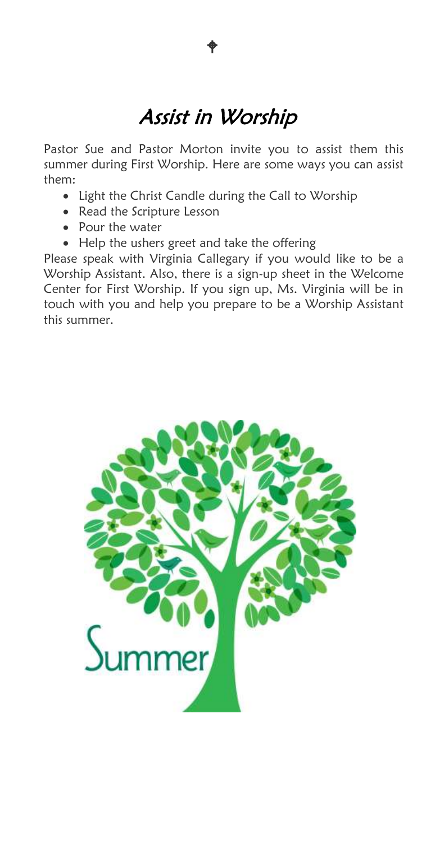# Assist in Worship

 $\bullet$ 

Pastor Sue and Pastor Morton invite you to assist them this summer during First Worship. Here are some ways you can assist them:

- Light the Christ Candle during the Call to Worship
- Read the Scripture Lesson
- Pour the water
- Help the ushers greet and take the offering

Please speak with Virginia Callegary if you would like to be a Worship Assistant. Also, there is a sign-up sheet in the Welcome Center for First Worship. If you sign up, Ms. Virginia will be in touch with you and help you prepare to be a Worship Assistant this summer.